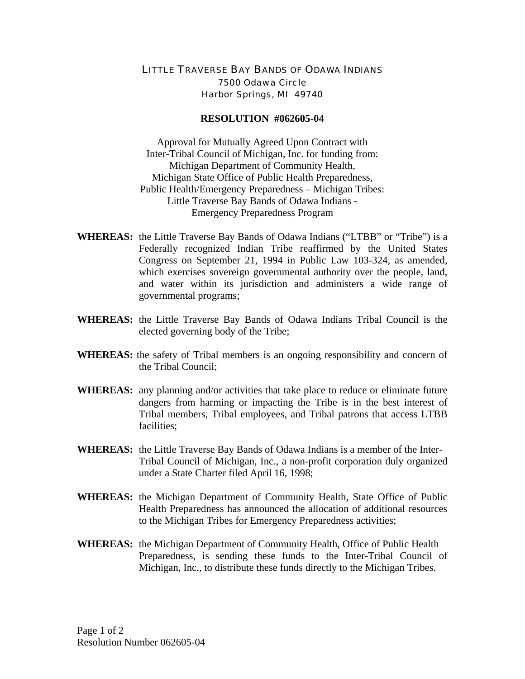## LITTLE TRAVERSE BAY BANDS OF ODAWA INDIANS 7500 Odawa Circle Harbor Springs, MI 49740

## **RESOLUTION #062605-04**

Approval for Mutually Agreed Upon Contract with Inter-Tribal Council of Michigan, Inc. for funding from: Michigan Department of Community Health, Michigan State Office of Public Health Preparedness, Public Health/Emergency Preparedness – Michigan Tribes: Little Traverse Bay Bands of Odawa Indians - Emergency Preparedness Program

- **WHEREAS:** the Little Traverse Bay Bands of Odawa Indians ("LTBB" or "Tribe") is a Federally recognized Indian Tribe reaffirmed by the United States Congress on September 21, 1994 in Public Law 103-324, as amended, which exercises sovereign governmental authority over the people, land, and water within its jurisdiction and administers a wide range of governmental programs;
- **WHEREAS:** the Little Traverse Bay Bands of Odawa Indians Tribal Council is the elected governing body of the Tribe;
- **WHEREAS:** the safety of Tribal members is an ongoing responsibility and concern of the Tribal Council;
- **WHEREAS:** any planning and/or activities that take place to reduce or eliminate future dangers from harming or impacting the Tribe is in the best interest of Tribal members, Tribal employees, and Tribal patrons that access LTBB facilities;
- **WHEREAS:** the Little Traverse Bay Bands of Odawa Indians is a member of the Inter-Tribal Council of Michigan, Inc., a non-profit corporation duly organized under a State Charter filed April 16, 1998;
- **WHEREAS:** the Michigan Department of Community Health, State Office of Public Health Preparedness has announced the allocation of additional resources to the Michigan Tribes for Emergency Preparedness activities;
- **WHEREAS:** the Michigan Department of Community Health, Office of Public Health Preparedness, is sending these funds to the Inter-Tribal Council of Michigan, Inc., to distribute these funds directly to the Michigan Tribes.